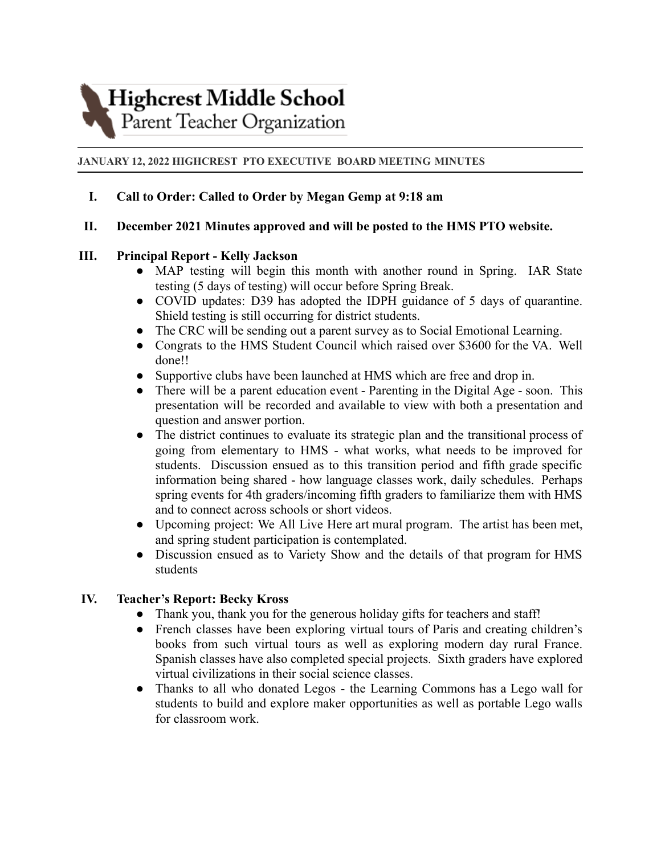**Highcrest Middle School** 

# Parent Teacher Organization

#### **JANUARY 12, 2022 HIGHCREST PTO EXECUTIVE BOARD MEETING MINUTES**

## **I. Call to Order: Called to Order by Megan Gemp at 9:18 am**

## **II. December 2021 Minutes approved and will be posted to the HMS PTO website.**

## **III. Principal Report - Kelly Jackson**

- MAP testing will begin this month with another round in Spring. IAR State testing (5 days of testing) will occur before Spring Break.
- COVID updates: D39 has adopted the IDPH guidance of 5 days of quarantine. Shield testing is still occurring for district students.
- The CRC will be sending out a parent survey as to Social Emotional Learning.
- Congrats to the HMS Student Council which raised over \$3600 for the VA. Well done!!
- Supportive clubs have been launched at HMS which are free and drop in.
- There will be a parent education event Parenting in the Digital Age soon. This presentation will be recorded and available to view with both a presentation and question and answer portion.
- The district continues to evaluate its strategic plan and the transitional process of going from elementary to HMS - what works, what needs to be improved for students. Discussion ensued as to this transition period and fifth grade specific information being shared - how language classes work, daily schedules. Perhaps spring events for 4th graders/incoming fifth graders to familiarize them with HMS and to connect across schools or short videos.
- Upcoming project: We All Live Here art mural program. The artist has been met, and spring student participation is contemplated.
- Discussion ensued as to Variety Show and the details of that program for HMS students

## **IV. Teacher's Report: Becky Kross**

- Thank you, thank you for the generous holiday gifts for teachers and staff!
- French classes have been exploring virtual tours of Paris and creating children's books from such virtual tours as well as exploring modern day rural France. Spanish classes have also completed special projects. Sixth graders have explored virtual civilizations in their social science classes.
- Thanks to all who donated Legos the Learning Commons has a Lego wall for students to build and explore maker opportunities as well as portable Lego walls for classroom work.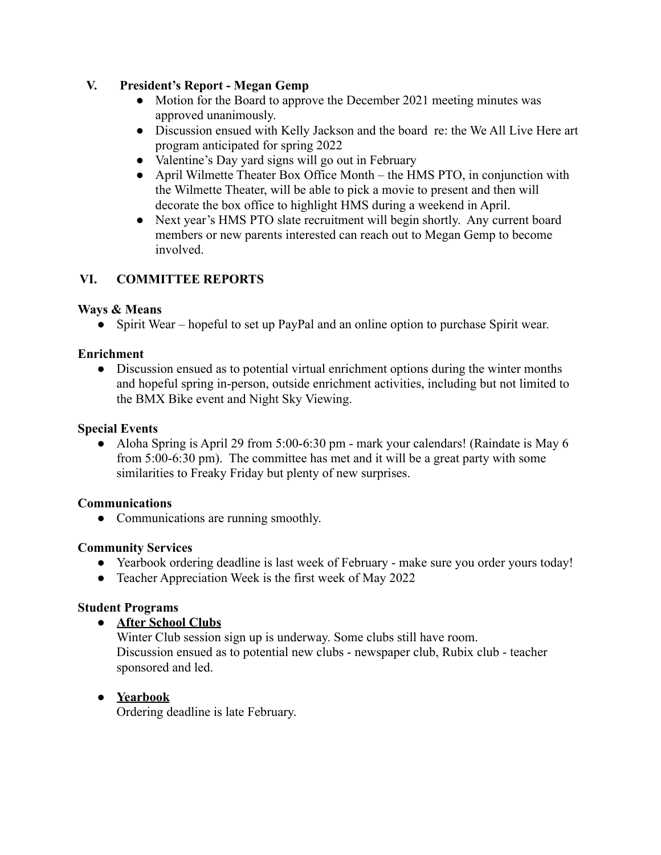## **V. President's Report - Megan Gemp**

- Motion for the Board to approve the December 2021 meeting minutes was approved unanimously.
- Discussion ensued with Kelly Jackson and the board re: the We All Live Here art program anticipated for spring 2022
- Valentine's Day yard signs will go out in February
- April Wilmette Theater Box Office Month the HMS PTO, in conjunction with the Wilmette Theater, will be able to pick a movie to present and then will decorate the box office to highlight HMS during a weekend in April.
- Next year's HMS PTO slate recruitment will begin shortly. Any current board members or new parents interested can reach out to Megan Gemp to become involved.

## **VI. COMMITTEE REPORTS**

## **Ways & Means**

• Spirit Wear – hopeful to set up PayPal and an online option to purchase Spirit wear.

## **Enrichment**

• Discussion ensued as to potential virtual enrichment options during the winter months and hopeful spring in-person, outside enrichment activities, including but not limited to the BMX Bike event and Night Sky Viewing.

## **Special Events**

• Aloha Spring is April 29 from 5:00-6:30 pm - mark your calendars! (Raindate is May 6) from 5:00-6:30 pm). The committee has met and it will be a great party with some similarities to Freaky Friday but plenty of new surprises.

## **Communications**

• Communications are running smoothly.

## **Community Services**

- Yearbook ordering deadline is last week of February make sure you order yours today!
- Teacher Appreciation Week is the first week of May 2022

## **Student Programs**

**● After School Clubs**

Winter Club session sign up is underway. Some clubs still have room. Discussion ensued as to potential new clubs - newspaper club, Rubix club - teacher sponsored and led.

## ● **Yearbook**

Ordering deadline is late February.